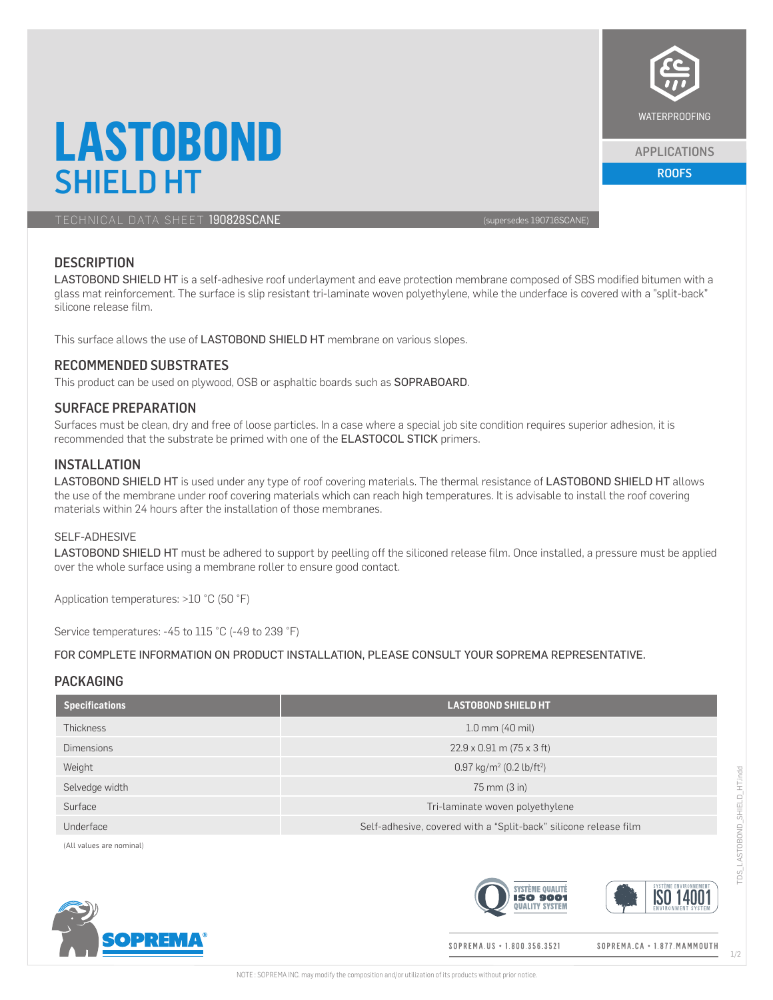

#### APPLICATIONS

ROOFS

# **LASTOBOND** SHIELD HT

TECHNICAL DATA SHEET 190828SCANE (supersedes 190716SCANE)

# **DESCRIPTION**

LASTOBOND SHIELD HT is a self-adhesive roof underlayment and eave protection membrane composed of SBS modified bitumen with a glass mat reinforcement. The surface is slip resistant tri-laminate woven polyethylene, while the underface is covered with a "split-back" silicone release film.

This surface allows the use of LASTOBOND SHIELD HT membrane on various slopes.

# RECOMMENDED SUBSTRATES

This product can be used on plywood, OSB or asphaltic boards such as SOPRABOARD.

# SURFACE PREPARATION

Surfaces must be clean, dry and free of loose particles. In a case where a special job site condition requires superior adhesion, it is recommended that the substrate be primed with one of the ELASTOCOL STICK primers.

# INSTALLATION

LASTOBOND SHIELD HT is used under any type of roof covering materials. The thermal resistance of LASTOBOND SHIELD HT allows the use of the membrane under roof covering materials which can reach high temperatures. It is advisable to install the roof covering materials within 24 hours after the installation of those membranes.

#### SELF-ADHESIVE

LASTOBOND SHIELD HT must be adhered to support by peelling off the siliconed release film. Once installed, a pressure must be applied over the whole surface using a membrane roller to ensure good contact.

Application temperatures: >10 °C (50 °F)

Service temperatures: -45 to 115 °C (-49 to 239 °F)

#### FOR COMPLETE INFORMATION ON PRODUCT INSTALLATION, PLEASE CONSULT YOUR SOPREMA REPRESENTATIVE.

# PACKAGING

| <b>Specifications</b> | <b>LASTOBOND SHIELD HT</b>                                       |  |
|-----------------------|------------------------------------------------------------------|--|
| <b>Thickness</b>      | $1.0$ mm $(40$ mil)                                              |  |
| <b>Dimensions</b>     | $22.9 \times 0.91$ m (75 x 3 ft)                                 |  |
| Weight                | 0.97 kg/m <sup>2</sup> (0.2 lb/ft <sup>2</sup> )                 |  |
| Selvedge width        | 75 mm (3 in)                                                     |  |
| Surface               | Tri-laminate woven polyethylene                                  |  |
| Underface             | Self-adhesive, covered with a "Split-back" silicone release film |  |

(All values are nominal)







SOPREMA.US + 1.800.356.3521

SOPREMA.CA · 1.877. MAMMOUTH

1/2